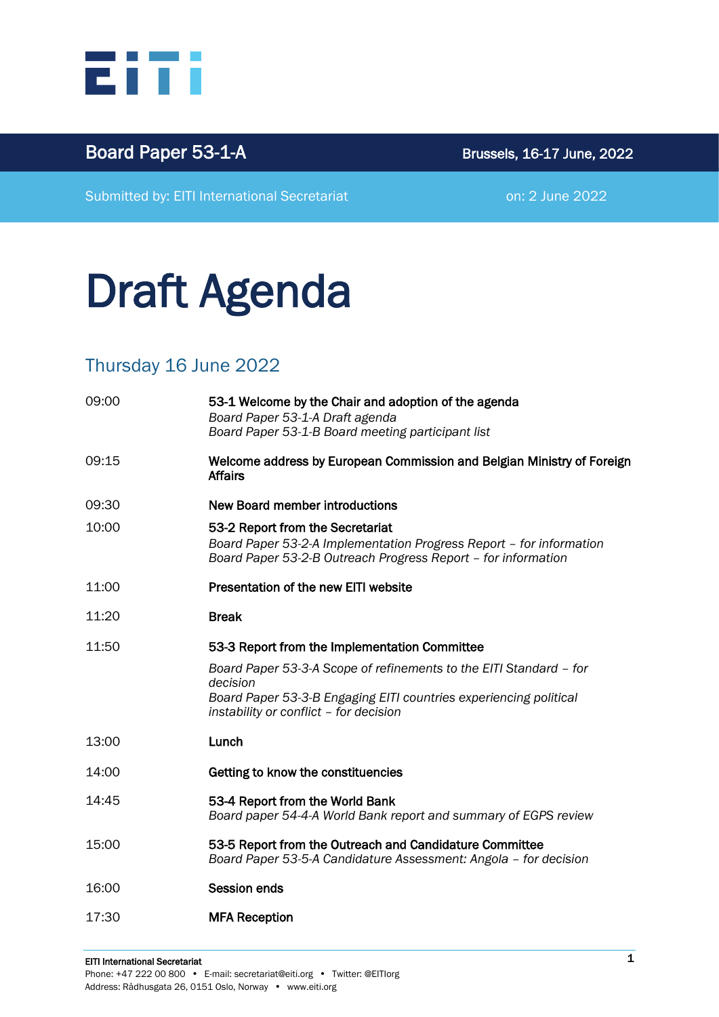

## Board Paper 53-1-A Brussels, 16-17 June, 2022

Submitted by: EITI International Secretariat **on: 2 June 2022** 

# Draft Agenda

#### Thursday 16 June 2022

| 09:00 | 53-1 Welcome by the Chair and adoption of the agenda<br>Board Paper 53-1-A Draft agenda<br>Board Paper 53-1-B Board meeting participant list                                                  |
|-------|-----------------------------------------------------------------------------------------------------------------------------------------------------------------------------------------------|
| 09:15 | Welcome address by European Commission and Belgian Ministry of Foreign<br><b>Affairs</b>                                                                                                      |
| 09:30 | <b>New Board member introductions</b>                                                                                                                                                         |
| 10:00 | 53-2 Report from the Secretariat<br>Board Paper 53-2-A Implementation Progress Report - for information<br>Board Paper 53-2-B Outreach Progress Report - for information                      |
| 11:00 | Presentation of the new EITI website                                                                                                                                                          |
| 11:20 | <b>Break</b>                                                                                                                                                                                  |
| 11:50 | 53-3 Report from the Implementation Committee                                                                                                                                                 |
|       | Board Paper 53-3-A Scope of refinements to the EITI Standard - for<br>decision<br>Board Paper 53-3-B Engaging EITI countries experiencing political<br>instability or conflict - for decision |
| 13:00 | Lunch                                                                                                                                                                                         |
| 14:00 | Getting to know the constituencies                                                                                                                                                            |
| 14:45 | 53-4 Report from the World Bank<br>Board paper 54-4-A World Bank report and summary of EGPS review                                                                                            |
| 15:00 | 53-5 Report from the Outreach and Candidature Committee<br>Board Paper 53-5-A Candidature Assessment: Angola - for decision                                                                   |
| 16:00 | <b>Session ends</b>                                                                                                                                                                           |
| 17:30 | <b>MFA Reception</b>                                                                                                                                                                          |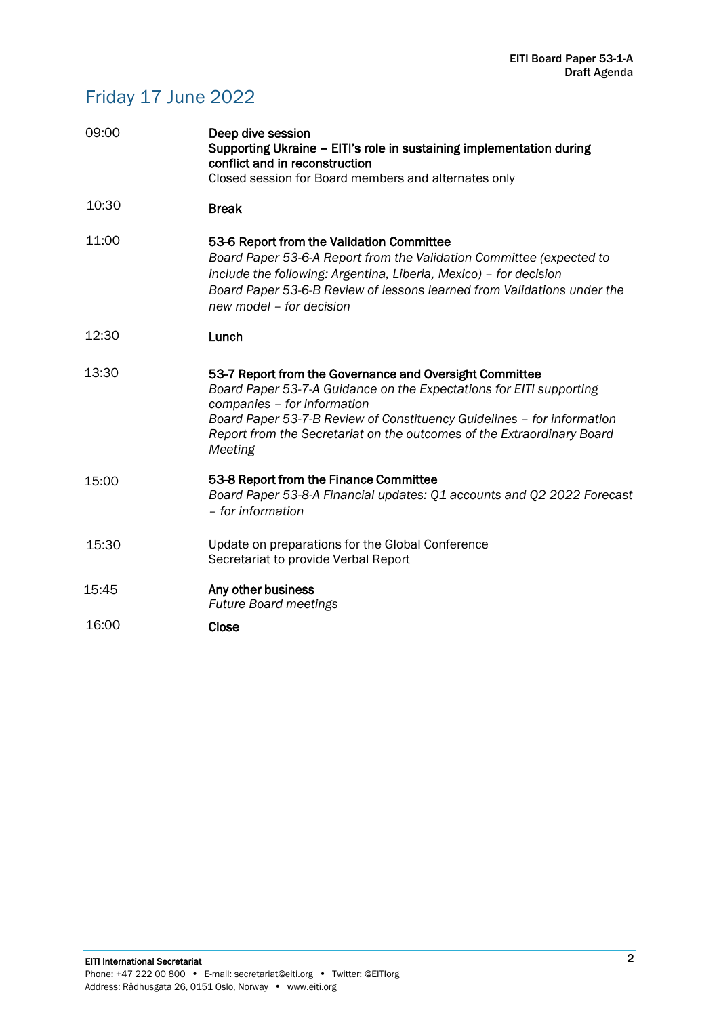## Friday 17 June 2022

| 09:00 | Deep dive session<br>Supporting Ukraine - EITI's role in sustaining implementation during<br>conflict and in reconstruction<br>Closed session for Board members and alternates only                                                                                                                                          |
|-------|------------------------------------------------------------------------------------------------------------------------------------------------------------------------------------------------------------------------------------------------------------------------------------------------------------------------------|
| 10:30 | <b>Break</b>                                                                                                                                                                                                                                                                                                                 |
| 11:00 | 53-6 Report from the Validation Committee<br>Board Paper 53-6-A Report from the Validation Committee (expected to<br>include the following: Argentina, Liberia, Mexico) - for decision<br>Board Paper 53-6-B Review of lessons learned from Validations under the<br>new model - for decision                                |
| 12:30 | Lunch                                                                                                                                                                                                                                                                                                                        |
| 13:30 | 53-7 Report from the Governance and Oversight Committee<br>Board Paper 53-7-A Guidance on the Expectations for EITI supporting<br>companies - for information<br>Board Paper 53-7-B Review of Constituency Guidelines - for information<br>Report from the Secretariat on the outcomes of the Extraordinary Board<br>Meeting |
| 15:00 | 53-8 Report from the Finance Committee<br>Board Paper 53-8-A Financial updates: Q1 accounts and Q2 2022 Forecast<br>- for information                                                                                                                                                                                        |
| 15:30 | Update on preparations for the Global Conference<br>Secretariat to provide Verbal Report                                                                                                                                                                                                                                     |
| 15:45 | Any other business<br><b>Future Board meetings</b>                                                                                                                                                                                                                                                                           |
| 16:00 | Close                                                                                                                                                                                                                                                                                                                        |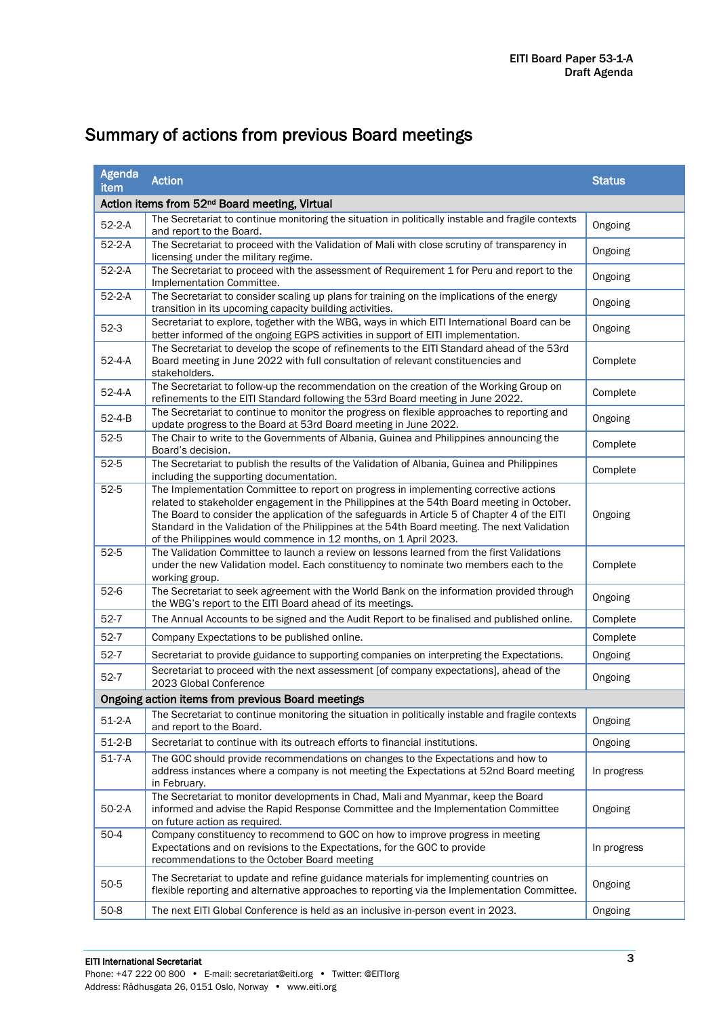| <b>Agenda</b><br>item                                     | <b>Action</b>                                                                                                                                                                                                                                                                                                                                                                                                                                            | <b>Status</b> |  |  |  |
|-----------------------------------------------------------|----------------------------------------------------------------------------------------------------------------------------------------------------------------------------------------------------------------------------------------------------------------------------------------------------------------------------------------------------------------------------------------------------------------------------------------------------------|---------------|--|--|--|
| Action items from 52 <sup>nd</sup> Board meeting, Virtual |                                                                                                                                                                                                                                                                                                                                                                                                                                                          |               |  |  |  |
| $52-2-A$                                                  | The Secretariat to continue monitoring the situation in politically instable and fragile contexts<br>and report to the Board.                                                                                                                                                                                                                                                                                                                            | Ongoing       |  |  |  |
| $52 - 2 - A$                                              | The Secretariat to proceed with the Validation of Mali with close scrutiny of transparency in<br>licensing under the military regime.                                                                                                                                                                                                                                                                                                                    | Ongoing       |  |  |  |
| $52-2-A$                                                  | The Secretariat to proceed with the assessment of Requirement 1 for Peru and report to the<br>Implementation Committee.                                                                                                                                                                                                                                                                                                                                  | Ongoing       |  |  |  |
| $52 - 2 - A$                                              | The Secretariat to consider scaling up plans for training on the implications of the energy<br>transition in its upcoming capacity building activities.                                                                                                                                                                                                                                                                                                  | Ongoing       |  |  |  |
| $52-3$                                                    | Secretariat to explore, together with the WBG, ways in which EITI International Board can be<br>better informed of the ongoing EGPS activities in support of EITI implementation.                                                                                                                                                                                                                                                                        | Ongoing       |  |  |  |
| $52 - 4 - A$                                              | The Secretariat to develop the scope of refinements to the EITI Standard ahead of the 53rd<br>Board meeting in June 2022 with full consultation of relevant constituencies and<br>stakeholders.                                                                                                                                                                                                                                                          | Complete      |  |  |  |
| $52 - 4 - A$                                              | The Secretariat to follow-up the recommendation on the creation of the Working Group on<br>Complete<br>refinements to the EITI Standard following the 53rd Board meeting in June 2022.                                                                                                                                                                                                                                                                   |               |  |  |  |
| $52 - 4 - B$                                              | The Secretariat to continue to monitor the progress on flexible approaches to reporting and<br>Ongoing<br>update progress to the Board at 53rd Board meeting in June 2022.                                                                                                                                                                                                                                                                               |               |  |  |  |
| $52 - 5$                                                  | The Chair to write to the Governments of Albania, Guinea and Philippines announcing the<br>Board's decision.                                                                                                                                                                                                                                                                                                                                             | Complete      |  |  |  |
| $52-5$                                                    | The Secretariat to publish the results of the Validation of Albania, Guinea and Philippines<br>including the supporting documentation.                                                                                                                                                                                                                                                                                                                   | Complete      |  |  |  |
| $52 - 5$                                                  | The Implementation Committee to report on progress in implementing corrective actions<br>related to stakeholder engagement in the Philippines at the 54th Board meeting in October.<br>The Board to consider the application of the safeguards in Article 5 of Chapter 4 of the EITI<br>Standard in the Validation of the Philippines at the 54th Board meeting. The next Validation<br>of the Philippines would commence in 12 months, on 1 April 2023. | Ongoing       |  |  |  |
| $52 - 5$                                                  | The Validation Committee to launch a review on lessons learned from the first Validations<br>under the new Validation model. Each constituency to nominate two members each to the<br>Complete<br>working group.                                                                                                                                                                                                                                         |               |  |  |  |
| $52-6$                                                    | The Secretariat to seek agreement with the World Bank on the information provided through<br>Ongoing<br>the WBG's report to the EITI Board ahead of its meetings.                                                                                                                                                                                                                                                                                        |               |  |  |  |
| $52-7$                                                    | The Annual Accounts to be signed and the Audit Report to be finalised and published online.                                                                                                                                                                                                                                                                                                                                                              | Complete      |  |  |  |
| $52 - 7$                                                  | Company Expectations to be published online.                                                                                                                                                                                                                                                                                                                                                                                                             | Complete      |  |  |  |
| $52 - 7$                                                  | Ongoing<br>Secretariat to provide guidance to supporting companies on interpreting the Expectations.                                                                                                                                                                                                                                                                                                                                                     |               |  |  |  |
| $52-7$                                                    | Secretariat to proceed with the next assessment [of company expectations], ahead of the<br>2023 Global Conference                                                                                                                                                                                                                                                                                                                                        | Ongoing       |  |  |  |
| Ongoing action items from previous Board meetings         |                                                                                                                                                                                                                                                                                                                                                                                                                                                          |               |  |  |  |
| $51-2-A$                                                  | The Secretariat to continue monitoring the situation in politically instable and fragile contexts<br>and report to the Board.                                                                                                                                                                                                                                                                                                                            | Ongoing       |  |  |  |
| $51-2-B$                                                  | Secretariat to continue with its outreach efforts to financial institutions.                                                                                                                                                                                                                                                                                                                                                                             | Ongoing       |  |  |  |
| $51 - 7 - A$                                              | The GOC should provide recommendations on changes to the Expectations and how to<br>address instances where a company is not meeting the Expectations at 52nd Board meeting<br>in February.                                                                                                                                                                                                                                                              | In progress   |  |  |  |
| $50-2-A$                                                  | The Secretariat to monitor developments in Chad, Mali and Myanmar, keep the Board<br>informed and advise the Rapid Response Committee and the Implementation Committee<br>Ongoing<br>on future action as required.                                                                                                                                                                                                                                       |               |  |  |  |
| $50-4$                                                    | Company constituency to recommend to GOC on how to improve progress in meeting<br>Expectations and on revisions to the Expectations, for the GOC to provide<br>recommendations to the October Board meeting                                                                                                                                                                                                                                              | In progress   |  |  |  |
| $50 - 5$                                                  | The Secretariat to update and refine guidance materials for implementing countries on<br>flexible reporting and alternative approaches to reporting via the Implementation Committee.                                                                                                                                                                                                                                                                    | Ongoing       |  |  |  |
| $50-8$                                                    | The next EITI Global Conference is held as an inclusive in-person event in 2023.                                                                                                                                                                                                                                                                                                                                                                         | Ongoing       |  |  |  |

## Summary of actions from previous Board meetings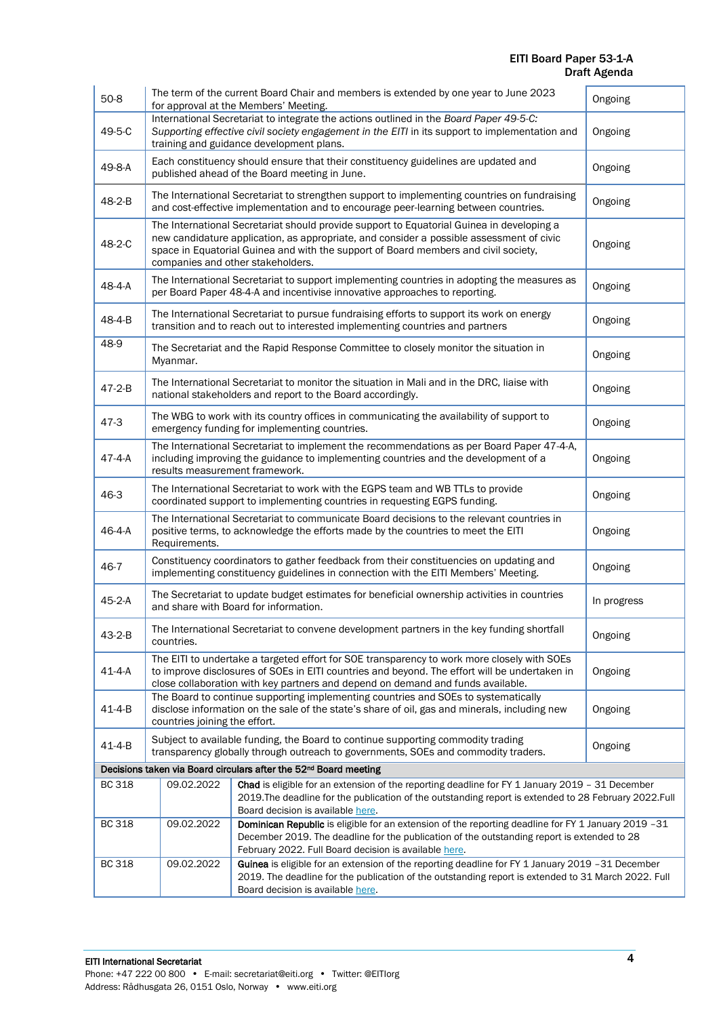#### EITI Board Paper 53-1-A Draft Agenda

| $50 - 8$      | The term of the current Board Chair and members is extended by one year to June 2023<br>Ongoing<br>for approval at the Members' Meeting.                                                                                                                                                                                     |                                                                                                                                                                                                                                                             |         |
|---------------|------------------------------------------------------------------------------------------------------------------------------------------------------------------------------------------------------------------------------------------------------------------------------------------------------------------------------|-------------------------------------------------------------------------------------------------------------------------------------------------------------------------------------------------------------------------------------------------------------|---------|
| 49-5-C        | International Secretariat to integrate the actions outlined in the Board Paper 49-5-C:<br>Supporting effective civil society engagement in the EITI in its support to implementation and<br>Ongoing<br>training and guidance development plans.                                                                              |                                                                                                                                                                                                                                                             |         |
| 49-8-A        | Each constituency should ensure that their constituency guidelines are updated and<br>Ongoing<br>published ahead of the Board meeting in June.                                                                                                                                                                               |                                                                                                                                                                                                                                                             |         |
| 48-2-B        | The International Secretariat to strengthen support to implementing countries on fundraising<br>Ongoing<br>and cost-effective implementation and to encourage peer-learning between countries.                                                                                                                               |                                                                                                                                                                                                                                                             |         |
| 48-2-C        | The International Secretariat should provide support to Equatorial Guinea in developing a<br>new candidature application, as appropriate, and consider a possible assessment of civic<br>Ongoing<br>space in Equatorial Guinea and with the support of Board members and civil society,<br>companies and other stakeholders. |                                                                                                                                                                                                                                                             |         |
| 48-4-A        |                                                                                                                                                                                                                                                                                                                              | The International Secretariat to support implementing countries in adopting the measures as<br>per Board Paper 48-4-A and incentivise innovative approaches to reporting.                                                                                   | Ongoing |
| 48-4-B        | The International Secretariat to pursue fundraising efforts to support its work on energy<br>Ongoing<br>transition and to reach out to interested implementing countries and partners                                                                                                                                        |                                                                                                                                                                                                                                                             |         |
| 48-9          | The Secretariat and the Rapid Response Committee to closely monitor the situation in<br>Ongoing<br>Myanmar.                                                                                                                                                                                                                  |                                                                                                                                                                                                                                                             |         |
| $47 - 2 - B$  | The International Secretariat to monitor the situation in Mali and in the DRC, liaise with<br>Ongoing<br>national stakeholders and report to the Board accordingly.                                                                                                                                                          |                                                                                                                                                                                                                                                             |         |
| $47-3$        | The WBG to work with its country offices in communicating the availability of support to<br>Ongoing<br>emergency funding for implementing countries.                                                                                                                                                                         |                                                                                                                                                                                                                                                             |         |
| $47 - 4 - A$  | The International Secretariat to implement the recommendations as per Board Paper 47-4-A,<br>including improving the guidance to implementing countries and the development of a<br>Ongoing<br>results measurement framework.                                                                                                |                                                                                                                                                                                                                                                             |         |
| 46-3          | The International Secretariat to work with the EGPS team and WB TTLs to provide<br>Ongoing<br>coordinated support to implementing countries in requesting EGPS funding.                                                                                                                                                      |                                                                                                                                                                                                                                                             |         |
| 46-4-A        | The International Secretariat to communicate Board decisions to the relevant countries in<br>positive terms, to acknowledge the efforts made by the countries to meet the EITI<br>Ongoing<br>Requirements.                                                                                                                   |                                                                                                                                                                                                                                                             |         |
| 46-7          | Constituency coordinators to gather feedback from their constituencies on updating and<br>Ongoing<br>implementing constituency guidelines in connection with the EITI Members' Meeting.                                                                                                                                      |                                                                                                                                                                                                                                                             |         |
| 45-2-A        | The Secretariat to update budget estimates for beneficial ownership activities in countries<br>In progress<br>and share with Board for information.                                                                                                                                                                          |                                                                                                                                                                                                                                                             |         |
| 43-2-B        | The International Secretariat to convene development partners in the key funding shortfall<br>Ongoing<br>countries.                                                                                                                                                                                                          |                                                                                                                                                                                                                                                             |         |
| $41 - 4 - A$  | The EITI to undertake a targeted effort for SOE transparency to work more closely with SOEs<br>to improve disclosures of SOEs in EITI countries and beyond. The effort will be undertaken in<br>Ongoing<br>close collaboration with key partners and depend on demand and funds available.                                   |                                                                                                                                                                                                                                                             |         |
| $41 - 4 - B$  | The Board to continue supporting implementing countries and SOEs to systematically<br>disclose information on the sale of the state's share of oil, gas and minerals, including new<br>Ongoing<br>countries joining the effort.                                                                                              |                                                                                                                                                                                                                                                             |         |
| $41 - 4 - B$  |                                                                                                                                                                                                                                                                                                                              | Subject to available funding, the Board to continue supporting commodity trading<br>transparency globally through outreach to governments, SOEs and commodity traders.                                                                                      | Ongoing |
|               |                                                                                                                                                                                                                                                                                                                              | Decisions taken via Board circulars after the 52 <sup>nd</sup> Board meeting                                                                                                                                                                                |         |
| <b>BC 318</b> | 09.02.2022                                                                                                                                                                                                                                                                                                                   | Chad is eligible for an extension of the reporting deadline for FY 1 January 2019 - 31 December<br>2019. The deadline for the publication of the outstanding report is extended to 28 February 2022. Full<br>Board decision is available here.              |         |
| <b>BC 318</b> | 09.02.2022                                                                                                                                                                                                                                                                                                                   | Dominican Republic is eligible for an extension of the reporting deadline for FY 1 January 2019 -31<br>December 2019. The deadline for the publication of the outstanding report is extended to 28<br>February 2022. Full Board decision is available here. |         |
| <b>BC 318</b> | 09.02.2022                                                                                                                                                                                                                                                                                                                   | Guinea is eligible for an extension of the reporting deadline for FY 1 January 2019 -31 December<br>2019. The deadline for the publication of the outstanding report is extended to 31 March 2022. Full<br>Board decision is available here.                |         |